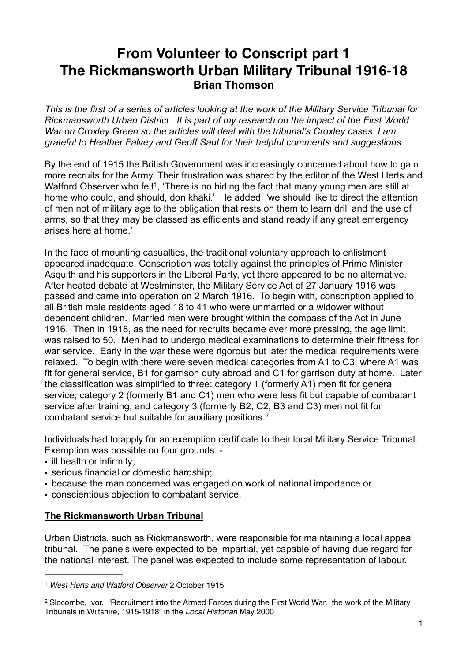## **From Volunteer to Conscript part 1 The Rickmansworth Urban Military Tribunal 1916-18 Brian Thomson**

*This is the first of a series of articles looking at the work of the Military Service Tribunal for Rickmansworth Urban District. It is part of my research on the impact of the First World War on Croxley Green so the articles will deal with the tribunal's Croxley cases. I am grateful to Heather Falvey and Geoff Saul for their helpful comments and suggestions.* 

By the end of 1915 the British Government was increasingly concerned about how to gain more recruits for the Army. Their frustration was shared by the editor of the West Herts and Watford Observer who felt<sup>1</sup>. There is no hiding the fact that many young men are still at home who could, and should, don khaki.' He added, *'*we should like to direct the attention of men not of military age to the obligation that rests on them to learn drill and the use of arms, so that they may be classed as efficients and stand ready if any great emergency arises here at home.'

In the face of mounting casualties, the traditional voluntary approach to enlistment appeared inadequate. Conscription was totally against the principles of Prime Minister Asquith and his supporters in the Liberal Party, yet there appeared to be no alternative. After heated debate at Westminster, the Military Service Act of 27 January 1916 was passed and came into operation on 2 March 1916. To begin with, conscription applied to all British male residents aged 18 to 41 who were unmarried or a widower without dependent children. Married men were brought within the compass of the Act in June 1916. Then in 1918, as the need for recruits became ever more pressing, the age limit was raised to 50. Men had to undergo medical examinations to determine their fitness for war service. Early in the war these were rigorous but later the medical requirements were relaxed. To begin with there were seven medical categories from A1 to C3; where A1 was fit for general service, B1 for garrison duty abroad and C1 for garrison duty at home. Later the classification was simplified to three: category 1 (formerly A1) men fit for general service; category 2 (formerly B1 and C1) men who were less fit but capable of combatant service after training; and category 3 (formerly B2, C2, B3 and C3) men not fit for combatant service but suitable for auxiliary positions. 2

Individuals had to apply for an exemption certificate to their local Military Service Tribunal. Exemption was possible on four grounds: -

- ill health or infirmity;
- serious financial or domestic hardship;
- because the man concerned was engaged on work of national importance or
- conscientious objection to combatant service.

## **The Rickmansworth Urban Tribunal**

Urban Districts, such as Rickmansworth, were responsible for maintaining a local appeal tribunal. The panels were expected to be impartial, yet capable of having due regard for the national interest. The panel was expected to include some representation of labour.

<sup>1</sup> *West Herts and Watford Observer* 2 October 1915

<sup>&</sup>lt;sup>2</sup> Slocombe, Ivor. "Recruitment into the Armed Forces during the First World War. the work of the Military Tribunals in Wiltshire, 1915-1918" in the *Local Historian* May 2000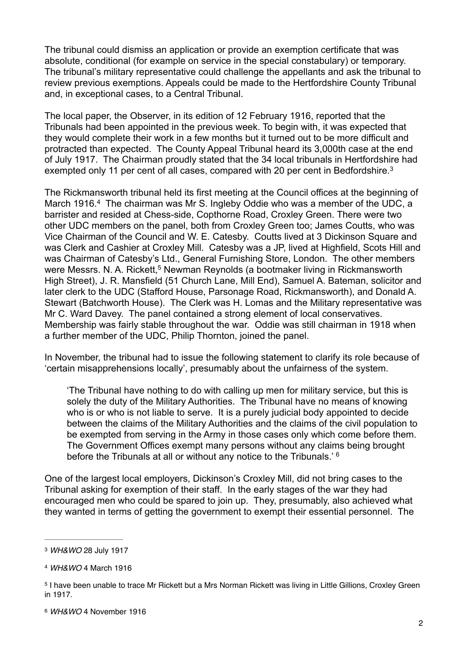The tribunal could dismiss an application or provide an exemption certificate that was absolute, conditional (for example on service in the special constabulary) or temporary. The tribunal's military representative could challenge the appellants and ask the tribunal to review previous exemptions. Appeals could be made to the Hertfordshire County Tribunal and, in exceptional cases, to a Central Tribunal.

The local paper, the Observer, in its edition of 12 February 1916, reported that the Tribunals had been appointed in the previous week. To begin with, it was expected that they would complete their work in a few months but it turned out to be more difficult and protracted than expected. The County Appeal Tribunal heard its 3,000th case at the end of July 1917. The Chairman proudly stated that the 34 local tribunals in Hertfordshire had exempted only 11 per cent of all cases, compared with 20 per cent in Bedfordshire.<sup>3</sup>

The Rickmansworth tribunal held its first meeting at the Council offices at the beginning of March 1916.<sup>4</sup> The chairman was Mr S. Ingleby Oddie who was a member of the UDC, a barrister and resided at Chess-side, Copthorne Road, Croxley Green. There were two other UDC members on the panel, both from Croxley Green too; James Coutts, who was Vice Chairman of the Council and W. E. Catesby. Coutts lived at 3 Dickinson Square and was Clerk and Cashier at Croxley Mill. Catesby was a JP, lived at Highfield, Scots Hill and was Chairman of Catesby's Ltd., General Furnishing Store, London. The other members were Messrs. N. A. Rickett,<sup>5</sup> Newman Reynolds (a bootmaker living in Rickmansworth High Street), J. R. Mansfield (51 Church Lane, Mill End), Samuel A. Bateman, solicitor and later clerk to the UDC (Stafford House, Parsonage Road, Rickmansworth), and Donald A. Stewart (Batchworth House). The Clerk was H. Lomas and the Military representative was Mr C. Ward Davey. The panel contained a strong element of local conservatives. Membership was fairly stable throughout the war. Oddie was still chairman in 1918 when a further member of the UDC, Philip Thornton, joined the panel.

In November, the tribunal had to issue the following statement to clarify its role because of 'certain misapprehensions locally', presumably about the unfairness of the system.

'The Tribunal have nothing to do with calling up men for military service, but this is solely the duty of the Military Authorities. The Tribunal have no means of knowing who is or who is not liable to serve. It is a purely judicial body appointed to decide between the claims of the Military Authorities and the claims of the civil population to be exempted from serving in the Army in those cases only which come before them. The Government Offices exempt many persons without any claims being brought before the Tribunals at all or without any notice to the Tribunals.' 6

One of the largest local employers, Dickinson's Croxley Mill, did not bring cases to the Tribunal asking for exemption of their staff. In the early stages of the war they had encouraged men who could be spared to join up. They, presumably, also achieved what they wanted in terms of getting the government to exempt their essential personnel. The

<sup>3</sup> *WH&WO* 28 July 1917

<sup>4</sup> *WH&WO* 4 March 1916

<sup>&</sup>lt;sup>5</sup> I have been unable to trace Mr Rickett but a Mrs Norman Rickett was living in Little Gillions, Croxley Green in 1917.

<sup>6</sup> *WH&WO* 4 November 1916